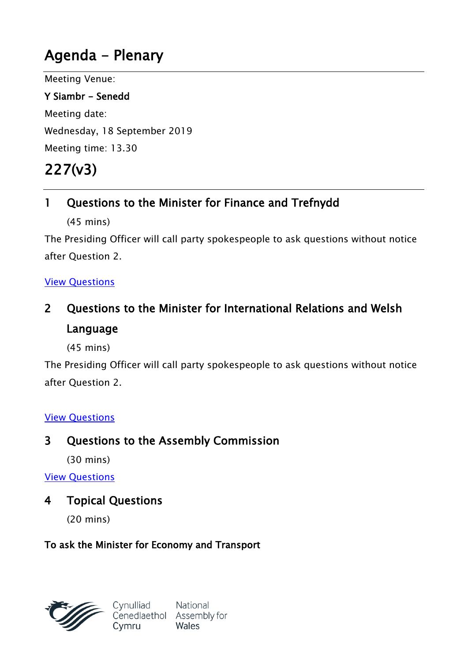# **Agenda - Plenary**

Meeting Venue:

**Y Siambr - Senedd** Meeting date: Wednesday, 18 September 2019 Meeting time: 13.30

# **227(v3)**

## **1 Questions to the Minister for Finance and Trefnydd**

(45 mins)

The Presiding Officer will call party spokespeople to ask questions without notice after Question 2.

#### View [Questions](http://record.assembly.wales/OrderPaper/OralQuestions/18-09-2019/)

## **2 Questions to the Minister for International Relations and Welsh Language**

(45 mins)

The Presiding Officer will call party spokespeople to ask questions without notice after Question 2.

#### View [Questions](http://record.assembly.wales/OrderPaper/OralQuestions/18-09-2019/)

## **3 Questions to the Assembly Commission**

(30 mins)

View [Questions](http://record.assembly.wales/OrderPaper/OralQuestions/18-09-2019/)

### **4 Topical Questions**

(20 mins)

#### **To ask the Minister for Economy and Transport**



National Cenedlaethol Assembly for Wales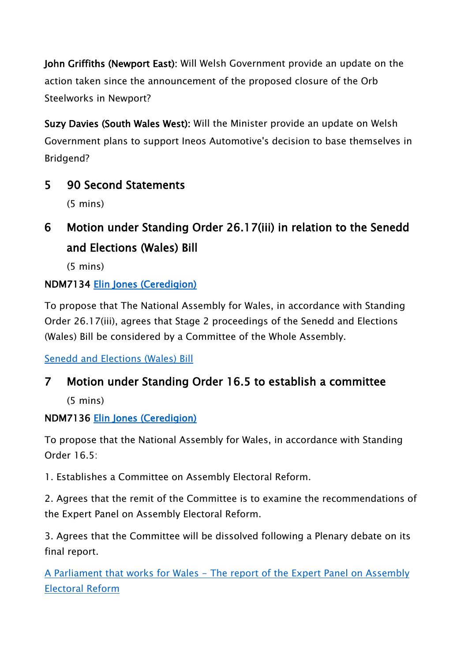**John Griffiths (Newport East):** Will Welsh Government provide an update on the action taken since the announcement of the proposed closure of the Orb Steelworks in Newport?

**Suzy Davies (South Wales West):** Will the Minister provide an update on Welsh Government plans to support Ineos Automotive's decision to base themselves in Bridgend?

**5 90 Second Statements**

(5 mins)

**6 Motion under Standing Order 26.17(iii) in relation to the Senedd and Elections (Wales) Bill**

(5 mins)

## **NDM7134 [Elin Jones \(Ceredigion\)](http://www.assembly.wales/en/memhome/Pages/MemberProfile.aspx?mid=162)**

To propose that The National Assembly for Wales, in accordance with Standing Order 26.17(iii), agrees that Stage 2 proceedings of the Senedd and Elections (Wales) Bill be considered by a Committee of the Whole Assembly.

Senedd and [Elections](http://www.assembly.wales/laid%20documents/pri-ld12142/pri-ld12142-e.pdf) (Wales) Bill

## **7 Motion under Standing Order 16.5 to establish a committee**

(5 mins)

## **NDM7136 [Elin Jones \(Ceredigion\)](http://www.assembly.wales/en/memhome/Pages/MemberProfile.aspx?mid=162)**

To propose that the National Assembly for Wales, in accordance with Standing Order 16.5:

1. Establishes a Committee on Assembly Electoral Reform.

2. Agrees that the remit of the Committee is to examine the recommendations of the Expert Panel on Assembly Electoral Reform.

3. Agrees that the Committee will be dissolved following a Plenary debate on its final report.

A [Parliament](https://www.assembly.wales/NAfW%20Documents/About%20the%20Assembly%20section%20documents/Expert%20Panel%20on%20Assembly%20Electoral%20Reform/A%20Parliament%20that%20Works%20for%20Wales.pdf) that works for Wales - The report of the Expert Panel on Assembly [Electoral](https://www.assembly.wales/NAfW%20Documents/About%20the%20Assembly%20section%20documents/Expert%20Panel%20on%20Assembly%20Electoral%20Reform/A%20Parliament%20that%20Works%20for%20Wales.pdf) Reform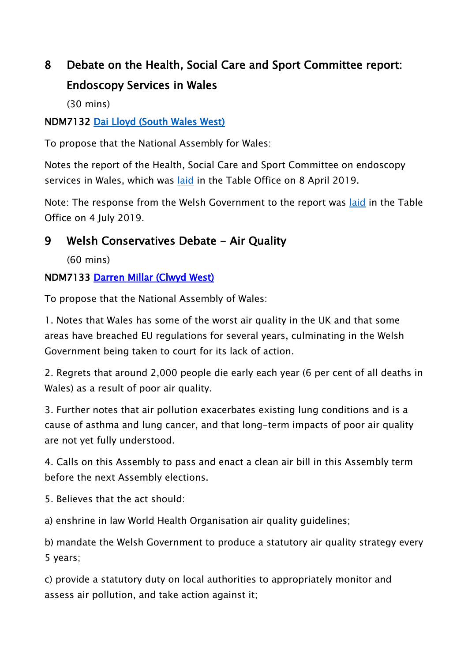## **8 Debate on the Health, Social Care and Sport Committee report: Endoscopy Services in Wales**

(30 mins)

#### **NDM7132 [Dai Lloyd \(South Wales West\)](http://www.assembly.wales/en/memhome/Pages/MemberProfile.aspx?mid=167)**

To propose that the National Assembly for Wales:

Notes the report of the Health, Social Care and Sport Committee on endoscopy services in Wales, which was [laid](http://www.cynulliad.cymru/laid%20documents/cr-ld12492/cr-ld12492-e.pdf) in the Table Office on 8 April 2019.

Note: The response from the Welsh Government to the report was [laid](http://www.cynulliad.cymru/laid%20documents/gen-ld12627/gen-ld12627-e.pdf) in the Table Office on 4 July 2019.

## **9 Welsh Conservatives Debate - Air Quality**

(60 mins)

#### **NDM7133 [Darren Millar \(Clwyd West\)](http://www.assembly.wales/en/memhome/Pages/MemberProfile.aspx?mid=171)**

To propose that the National Assembly of Wales:

1. Notes that Wales has some of the worst air quality in the UK and that some areas have breached EU regulations for several years, culminating in the Welsh Government being taken to court for its lack of action.

2. Regrets that around 2,000 people die early each year (6 per cent of all deaths in Wales) as a result of poor air quality.

3. Further notes that air pollution exacerbates existing lung conditions and is a cause of asthma and lung cancer, and that long-term impacts of poor air quality are not yet fully understood.

4. Calls on this Assembly to pass and enact a clean air bill in this Assembly term before the next Assembly elections.

5. Believes that the act should:

a) enshrine in law World Health Organisation air quality guidelines;

b) mandate the Welsh Government to produce a statutory air quality strategy every 5 years;

c) provide a statutory duty on local authorities to appropriately monitor and assess air pollution, and take action against it;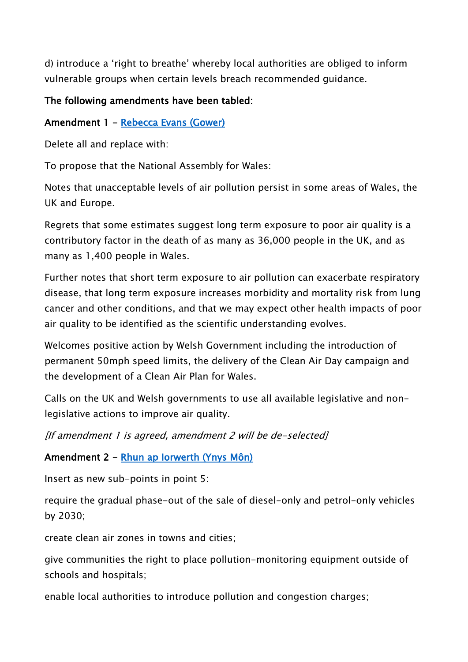d) introduce a 'right to breathe' whereby local authorities are obliged to inform vulnerable groups when certain levels breach recommended guidance.

#### **The following amendments have been tabled:**

#### **Amendment 1 - [Rebecca Evans \(Gower\)](http://www.assembly.wales/en/memhome/Pages/MemberProfile.aspx?mid=375)**

Delete all and replace with:

To propose that the National Assembly for Wales:

Notes that unacceptable levels of air pollution persist in some areas of Wales, the UK and Europe.

Regrets that some estimates suggest long term exposure to poor air quality is a contributory factor in the death of as many as 36,000 people in the UK, and as many as 1,400 people in Wales.

Further notes that short term exposure to air pollution can exacerbate respiratory disease, that long term exposure increases morbidity and mortality risk from lung cancer and other conditions, and that we may expect other health impacts of poor air quality to be identified as the scientific understanding evolves.

Welcomes positive action by Welsh Government including the introduction of permanent 50mph speed limits, the delivery of the Clean Air Day campaign and the development of a Clean Air Plan for Wales.

Calls on the UK and Welsh governments to use all available legislative and nonlegislative actions to improve air quality.

*[If amendment 1 is agreed, amendment 2 will be de-selected]*

**Amendment 2 - [Rhun ap Iorwerth \(Ynys Môn\)](http://www.assembly.wales/en/memhome/Pages/MemberProfile.aspx?mid=2717)** 

Insert as new sub-points in point 5:

require the gradual phase-out of the sale of diesel-only and petrol-only vehicles by 2030;

create clean air zones in towns and cities;

give communities the right to place pollution-monitoring equipment outside of schools and hospitals;

enable local authorities to introduce pollution and congestion charges;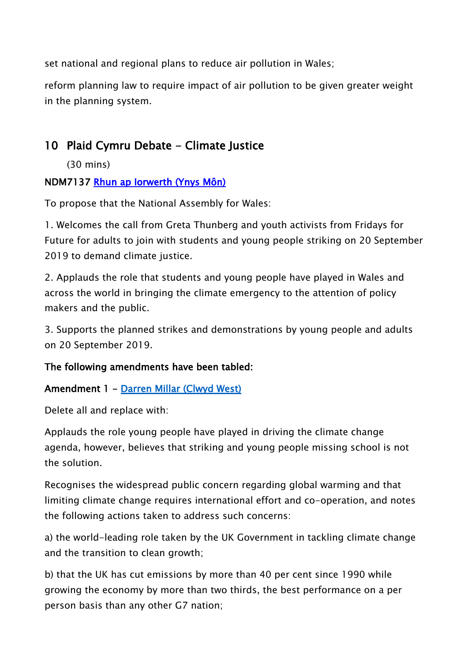set national and regional plans to reduce air pollution in Wales;

reform planning law to require impact of air pollution to be given greater weight in the planning system.

## **10 Plaid Cymru Debate - Climate Justice**

(30 mins)

#### **NDM7137 [Rhun ap Iorwerth \(Ynys Môn\)](http://www.assembly.wales/en/memhome/Pages/MemberProfile.aspx?mid=2717)**

To propose that the National Assembly for Wales:

1. Welcomes the call from Greta Thunberg and youth activists from Fridays for Future for adults to join with students and young people striking on 20 September 2019 to demand climate justice.

2. Applauds the role that students and young people have played in Wales and across the world in bringing the climate emergency to the attention of policy makers and the public.

3. Supports the planned strikes and demonstrations by young people and adults on 20 September 2019.

#### **The following amendments have been tabled:**

#### **Amendment 1 - [Darren Millar \(Clwyd West\)](http://www.assembly.wales/en/memhome/Pages/MemberProfile.aspx?mid=171)**

Delete all and replace with:

Applauds the role young people have played in driving the climate change agenda, however, believes that striking and young people missing school is not the solution.

Recognises the widespread public concern regarding global warming and that limiting climate change requires international effort and co-operation, and notes the following actions taken to address such concerns:

a) the world-leading role taken by the UK Government in tackling climate change and the transition to clean growth;

b) that the UK has cut emissions by more than 40 per cent since 1990 while growing the economy by more than two thirds, the best performance on a per person basis than any other G7 nation;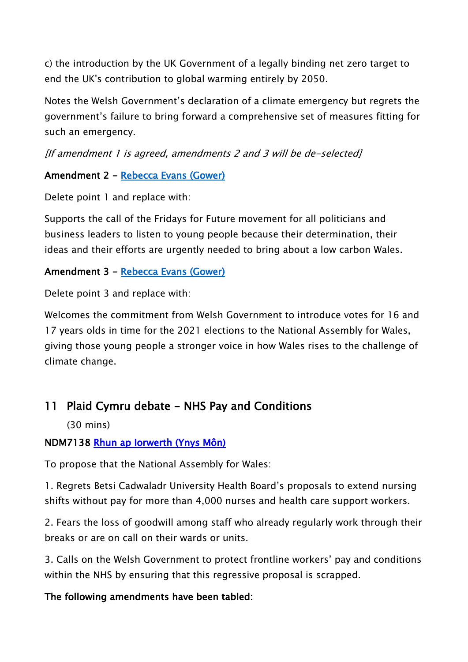c) the introduction by the UK Government of a legally binding net zero target to end the UK's contribution to global warming entirely by 2050.

Notes the Welsh Government's declaration of a climate emergency but regrets the government's failure to bring forward a comprehensive set of measures fitting for such an emergency.

*[If amendment 1 is agreed, amendments 2 and 3 will be de-selected]*

#### **Amendment 2 - [Rebecca Evans \(Gower\)](http://www.assembly.wales/en/memhome/Pages/MemberProfile.aspx?mid=375)**

Delete point 1 and replace with:

Supports the call of the Fridays for Future movement for all politicians and business leaders to listen to young people because their determination, their ideas and their efforts are urgently needed to bring about a low carbon Wales.

#### **Amendment 3 - [Rebecca Evans \(Gower\)](http://www.assembly.wales/en/memhome/Pages/MemberProfile.aspx?mid=375)**

Delete point 3 and replace with:

Welcomes the commitment from Welsh Government to introduce votes for 16 and 17 years olds in time for the 2021 elections to the National Assembly for Wales, giving those young people a stronger voice in how Wales rises to the challenge of climate change.

### **11 Plaid Cymru debate - NHS Pay and Conditions**

(30 mins)

#### **NDM7138 [Rhun ap Iorwerth \(Ynys Môn\)](http://www.assembly.wales/en/memhome/Pages/MemberProfile.aspx?mid=2717)**

To propose that the National Assembly for Wales:

1. Regrets Betsi Cadwaladr University Health Board's proposals to extend nursing shifts without pay for more than 4,000 nurses and health care support workers.

2. Fears the loss of goodwill among staff who already regularly work through their breaks or are on call on their wards or units.

3. Calls on the Welsh Government to protect frontline workers' pay and conditions within the NHS by ensuring that this regressive proposal is scrapped.

#### **The following amendments have been tabled:**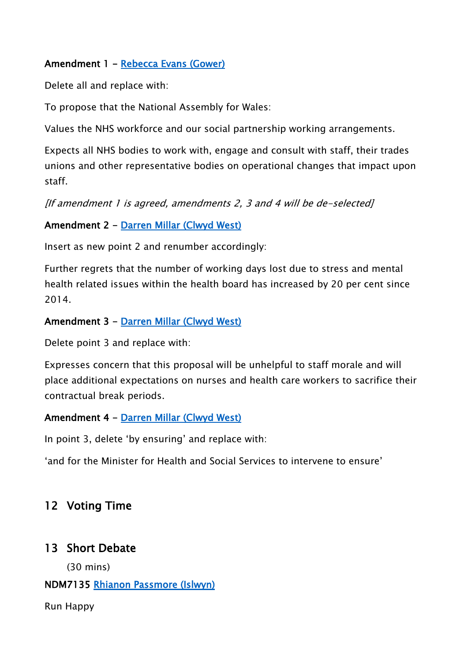#### **Amendment 1 - [Rebecca Evans \(Gower\)](http://www.assembly.wales/en/memhome/Pages/MemberProfile.aspx?mid=375)**

Delete all and replace with:

To propose that the National Assembly for Wales:

Values the NHS workforce and our social partnership working arrangements.

Expects all NHS bodies to work with, engage and consult with staff, their trades unions and other representative bodies on operational changes that impact upon staff.

*[If amendment 1 is agreed, amendments 2, 3 and 4 will be de-selected]*

**Amendment 2 - [Darren Millar \(Clwyd West\)](http://www.assembly.wales/en/memhome/Pages/MemberProfile.aspx?mid=171)** 

Insert as new point 2 and renumber accordingly:

Further regrets that the number of working days lost due to stress and mental health related issues within the health board has increased by 20 per cent since 2014.

**Amendment 3 - [Darren Millar \(Clwyd West\)](http://www.assembly.wales/en/memhome/Pages/MemberProfile.aspx?mid=171)** 

Delete point 3 and replace with:

Expresses concern that this proposal will be unhelpful to staff morale and will place additional expectations on nurses and health care workers to sacrifice their contractual break periods.

#### **Amendment 4 - [Darren Millar \(Clwyd West\)](http://www.assembly.wales/en/memhome/Pages/MemberProfile.aspx?mid=171)**

In point 3, delete 'by ensuring' and replace with:

'and for the Minister for Health and Social Services to intervene to ensure'

#### **12 Voting Time**

#### **13 Short Debate**

(30 mins)

#### **NDM7135 [Rhianon Passmore \(Islwyn\)](http://www.assembly.wales/en/memhome/Pages/MemberProfile.aspx?mid=4651)**

Run Happy